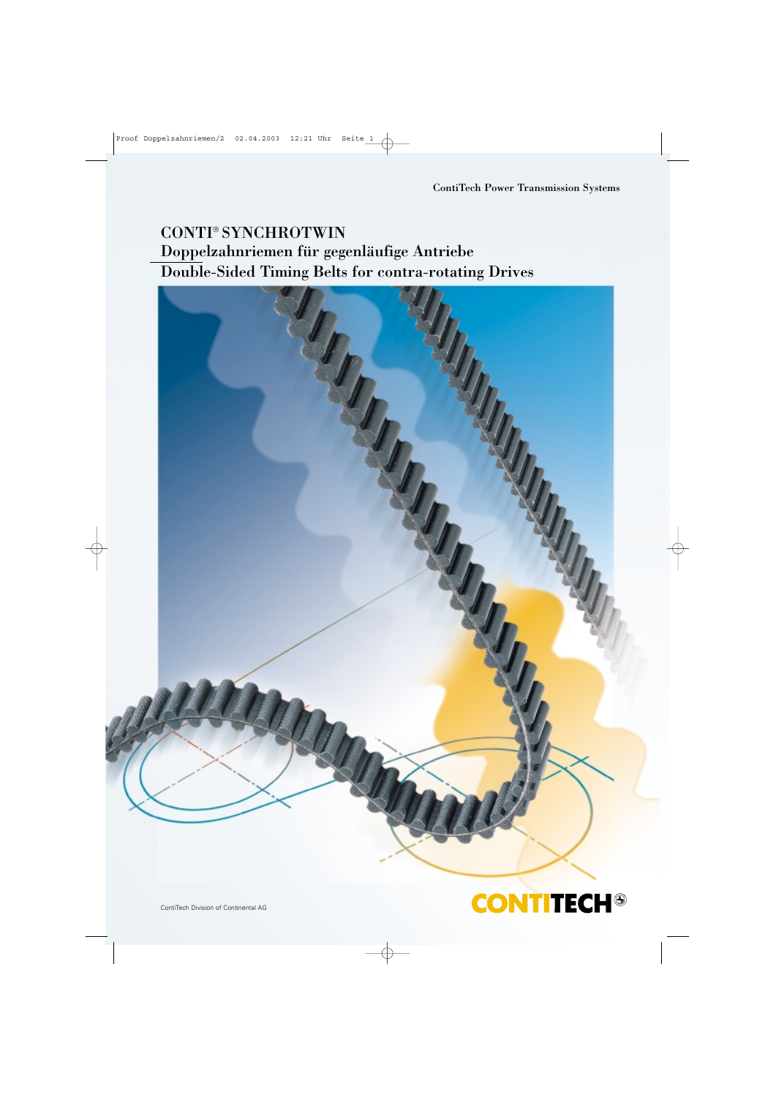## CONTI® SYNCHROTWIN Doppelzahnriemen für gegenläufige Antriebe Double-Sided Timing Belts for contra-rotating Drives